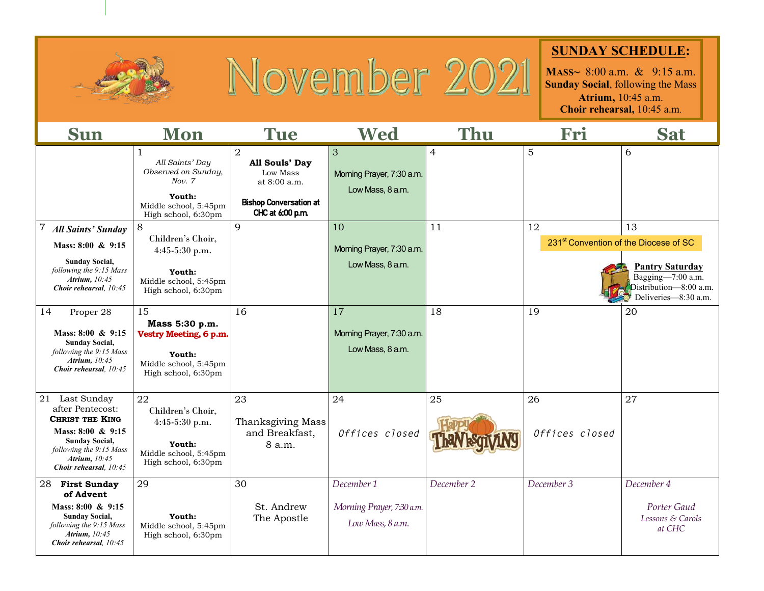

## November 2021

## **SUNDAY SCHEDULE:**

**MASS~** 8:00 a.m. & 9:15 a.m. **Sunday Social**, following the Mass **Atrium,** 10:45 a.m. **Choir rehearsal,** 10:45 a.m.

| <b>Sun</b>                                                                                                                                                                          | <b>Mon</b>                                                                                                                 | <b>Tue</b>                                                                                                          | Wed                                                         | <b>Thu</b>     | Fri                  | <b>Sat</b>                                                                                                                                               |
|-------------------------------------------------------------------------------------------------------------------------------------------------------------------------------------|----------------------------------------------------------------------------------------------------------------------------|---------------------------------------------------------------------------------------------------------------------|-------------------------------------------------------------|----------------|----------------------|----------------------------------------------------------------------------------------------------------------------------------------------------------|
|                                                                                                                                                                                     | $\mathbf{1}$<br>All Saints' Day<br>Observed on Sunday,<br>Nov. 7<br>Youth:<br>Middle school, 5:45pm<br>High school, 6:30pm | $\overline{2}$<br>All Souls' Day<br>Low Mass<br>at $8:00$ a.m.<br><b>Bishop Conversation at</b><br>CHC at 6:00 p.m. | 3<br>Morning Prayer, 7:30 a.m.<br>Low Mass, 8 a.m.          | $\overline{4}$ | 5                    | 6                                                                                                                                                        |
| 7<br><b>All Saints' Sunday</b><br>Mass: 8:00 & 9:15<br><b>Sunday Social,</b><br>following the 9:15 Mass<br>Atrium, 10:45<br>Choir rehearsal. 10:45                                  | 8<br>Children's Choir,<br>4:45-5:30 p.m.<br>Youth:<br>Middle school, 5:45pm<br>High school, 6:30pm                         | 9                                                                                                                   | 10<br>Morning Prayer, 7:30 a.m.<br>Low Mass, 8 a.m.         | 11             | 12                   | 13<br>231 <sup>st</sup> Convention of the Diocese of SC<br><b>Pantry Saturday</b><br>Bagging-7:00 a.m.<br>Distribution-8:00 a.m.<br>Deliveries-8:30 a.m. |
| 14<br>Proper 28<br>Mass: 8:00 & 9:15<br><b>Sunday Social,</b><br>following the 9:15 Mass<br>Atrium, 10:45<br>Choir rehearsal, 10:45                                                 | 15<br>Mass 5:30 p.m.<br>Vestry Meeting, 6 p.m.<br>Youth:<br>Middle school, 5:45pm<br>High school, 6:30pm                   | 16                                                                                                                  | 17<br>Morning Prayer, 7:30 a.m.<br>Low Mass, 8 a.m.         | 18             | 19                   | 20                                                                                                                                                       |
| Last Sunday<br>21<br>after Pentecost:<br><b>CHRIST THE KING</b><br>Mass: 8:00 & 9:15<br><b>Sunday Social,</b><br>following the 9:15 Mass<br>Atrium, 10:45<br>Choir rehearsal, 10:45 | 22<br>Children's Choir,<br>$4:45-5:30$ p.m.<br>Youth:<br>Middle school, 5:45pm<br>High school, 6:30pm                      | 23<br>Thanksgiving Mass<br>and Breakfast,<br>8 a.m.                                                                 | 24<br>Offices closed                                        | 25             | 26<br>Offices closed | 27                                                                                                                                                       |
| 28 First Sunday<br>of Advent<br>Mass: $8:00 \& 9:15$<br><b>Sunday Social,</b><br>following the 9:15 Mass<br>Atrium, 10:45<br>Choir rehearsal, 10:45                                 | 29<br>Youth:<br>Middle school, 5:45pm<br>High school, 6:30pm                                                               | 30<br>St. Andrew<br>The Apostle                                                                                     | December 1<br>Morning Prayer, 7:30 a.m.<br>Low Mass, 8 a.m. | December 2     | December 3           | December 4<br>Porter Gaud<br>Lessons & Carols<br>at CHC                                                                                                  |